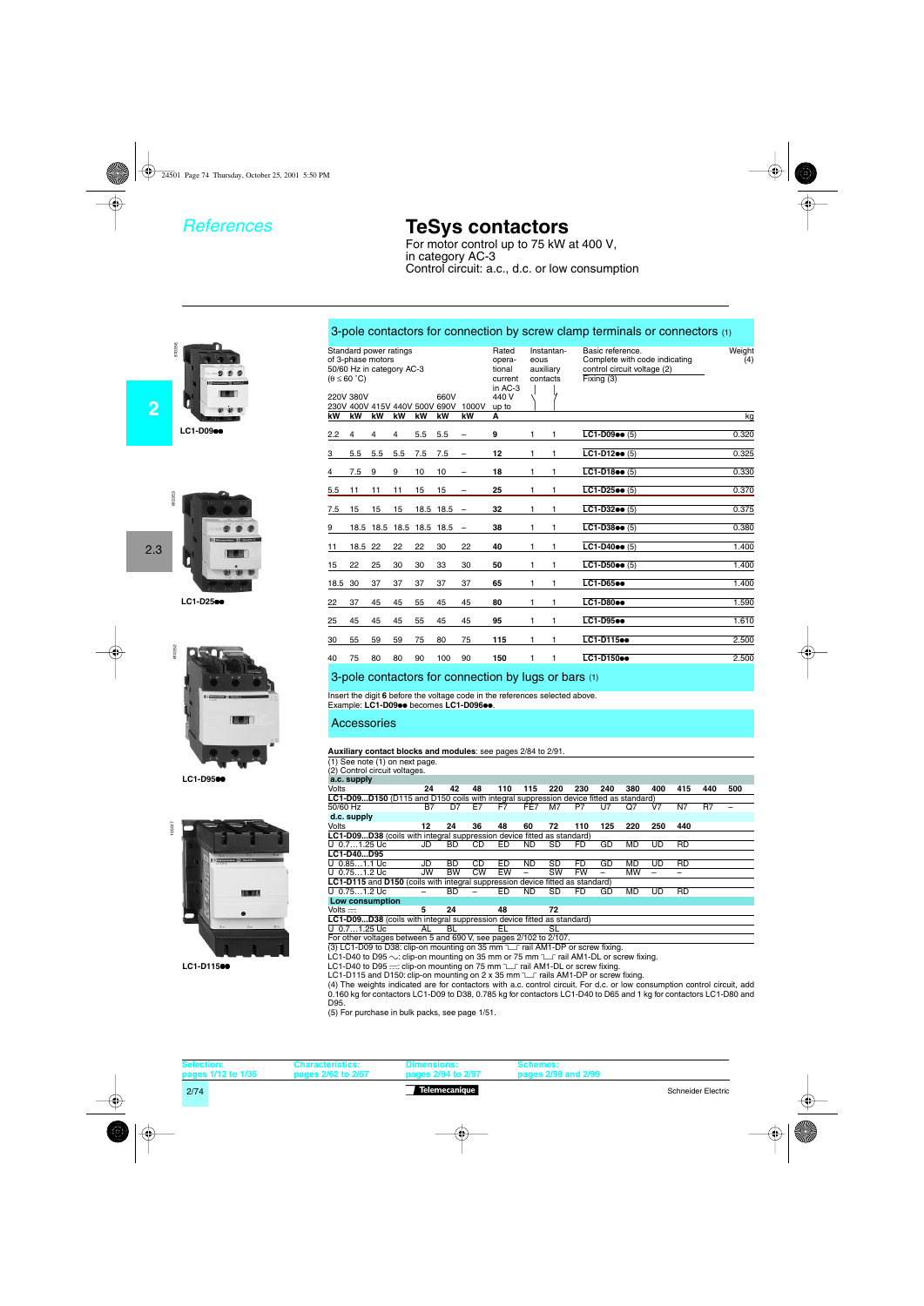# **TeSys contactors**

For motor control up to 75 kW at 400 V, in category AC-3 Control circuit: a.c., d.c. or low consumption

| 810356                            |
|-----------------------------------|
|                                   |
| totoo <b>9</b><br>21.16<br>ଈ<br>角 |
|                                   |
|                                   |
|                                   |
| ٠                                 |
| <b>LC1-D09ee</b>                  |
|                                   |





**LC1-D95** 



**LC1-D115**pp

| 3-pole contactors for connection by screw clamp terminals or connectors (1) |  |  |  |  |
|-----------------------------------------------------------------------------|--|--|--|--|
|-----------------------------------------------------------------------------|--|--|--|--|

|      | $(\theta \leq 60 \degree C)$ | of 3-phase motors | Standard power ratings<br>50/60 Hz in category AC-3 |      |              |                          | Rated<br>opera-<br>tional<br>current | eous | Instantan-<br>auxiliary<br>contacts | Basic reference.<br>Complete with code indicating<br>control circuit voltage (2)<br>Fixing (3) | Weight<br>(4) |
|------|------------------------------|-------------------|-----------------------------------------------------|------|--------------|--------------------------|--------------------------------------|------|-------------------------------------|------------------------------------------------------------------------------------------------|---------------|
|      | 220V 380V                    |                   | 230V 400V 415V 440V 500V                            |      | 660V<br>690V | 1000V                    | in AC-3<br>440 V<br>up to            |      |                                     |                                                                                                |               |
| kW   | kW                           | kW                | kW                                                  | kW   | kW           | kW                       | A                                    |      |                                     |                                                                                                | kg            |
| 2.2  | 4                            | 4                 | 4                                                   | 5.5  | 5.5          |                          | 9                                    | 1    | 1                                   | $LC1-D09$ (5)                                                                                  | 0.320         |
| 3    | 5.5                          | 5.5               | 5.5                                                 | 7.5  | 7.5          |                          | 12                                   | 1    | 1                                   | $LC1-D12$ (5)                                                                                  | 0.325         |
| 4    | 7.5                          | 9                 | 9                                                   | 10   | 10           |                          | 18                                   | 1    | 1                                   | LC1-D1800 (5)                                                                                  | 0.330         |
| 5.5  | 11                           | 11                | 11                                                  | 15   | 15           |                          | 25                                   | 1    | 1                                   | $LC1-D25$ (5)                                                                                  | 0.370         |
| 7.5  | 15                           | 15                | 15                                                  | 18.5 | 18.5         | $\overline{\phantom{0}}$ | 32                                   | 1    | 1                                   | $LC1-D32$ (5)                                                                                  | 0.375         |
| 9    | 18.5                         | 18.5              | 18.5                                                | 18.5 | 18.5         |                          | 38                                   | 1    | 1                                   | $LC1-D38$ (5)                                                                                  | 0.380         |
| 11   | 18.5                         | 22                | 22                                                  | 22   | 30           | 22                       | 40                                   | 1    | 1                                   | $LC1-D40$ (5)                                                                                  | 1.400         |
| 15   | 22                           | 25                | 30                                                  | 30   | 33           | 30                       | 50                                   | 1    | 1                                   | $LC1-D50$ (5)                                                                                  | 1.400         |
| 18.5 | 30                           | 37                | 37                                                  | 37   | 37           | 37                       | 65                                   | 1    | 1                                   | <b>LC1-D65ee</b>                                                                               | 1.400         |
| 22   | 37                           | 45                | 45                                                  | 55   | 45           | 45                       | 80                                   | 1    | 1                                   | <b>LC1-D80ee</b>                                                                               | 1.590         |
| 25   | 45                           | 45                | 45                                                  | 55   | 45           | 45                       | 95                                   | 1    | 1                                   | <b>LC1-D95ee</b>                                                                               | 1.610         |
| 30   | 55                           | 59                | 59                                                  | 75   | 80           | 75                       | 115                                  | 1    | 1                                   | LC1-D115ee                                                                                     | 2.500         |
| 40   | 75                           | 80                | 80                                                  | 90   | 100          | 90                       | 150                                  | 1    | 1                                   | LC1-D150ee                                                                                     | 2.500         |

#### 3-pole contactors for connection by lugs or bars (1)

Insert the digit **6** before the voltage code in the references selected above.<br>Example: **LC1-D09●●** becomes **LC1-D096●●**.

#### **Accessories**

#### **Auxiliary contact blocks and modules**: see pages 2/84 to 2/91.

| $A$ and $\theta$ beings bioons and modules. See pages 20+ to 20 m.                                                       |    |           |           |     |     |           |           |                          |           |     |           |     |     |
|--------------------------------------------------------------------------------------------------------------------------|----|-----------|-----------|-----|-----|-----------|-----------|--------------------------|-----------|-----|-----------|-----|-----|
| (1) See note (1) on next page.<br>(2) Control circuit voltages.                                                          |    |           |           |     |     |           |           |                          |           |     |           |     |     |
| a.c. supply                                                                                                              |    |           |           |     |     |           |           |                          |           |     |           |     |     |
| Volts                                                                                                                    | 24 | 42        | 48        | 110 | 115 | 220       | 230       | 240                      | 380       | 400 | 415       | 440 | 500 |
| LC1-D09D150 (D115 and D150 coils with integral suppression device fitted as standard)                                    |    |           |           |     |     |           |           |                          |           |     |           |     |     |
| 50/60 Hz                                                                                                                 | B7 | D7        | E7        | F7  | FE7 | M7        | P7        | U7                       | Q7        | V7  | N7        | R7  |     |
| d.c. supply                                                                                                              |    |           |           |     |     |           |           |                          |           |     |           |     |     |
| <b>Volts</b>                                                                                                             | 12 | 24        | 36        | 48  | 60  | 72        | 110       | 125                      | 220       | 250 | 440       |     |     |
| LC1-D09D38 (coils with integral suppression device fitted as standard)                                                   |    |           |           |     |     |           |           |                          |           |     |           |     |     |
| U 0.71.25 Uc                                                                                                             | JD | <b>BD</b> | CD        | ED  | ND. | SD        | FD        | GD                       | <b>MD</b> | UD  | <b>RD</b> |     |     |
| LC1-D40D95                                                                                                               |    |           |           |     |     |           |           |                          |           |     |           |     |     |
| U 0.851.1 Uc                                                                                                             | JD | <b>BD</b> | CD        | ED  | ND. | SD        | FD        | GD                       | <b>MD</b> | UD  | <b>RD</b> |     |     |
| U 0.751.2 Uc                                                                                                             | JW | <b>BW</b> | <b>CW</b> | EW  |     | SW        | <b>FW</b> | $\overline{\phantom{0}}$ | <b>MW</b> | -   | —         |     |     |
| <b>LC1-D115</b> and D150 (coils with integral suppression device fitted as standard)                                     |    |           |           |     |     |           |           |                          |           |     |           |     |     |
| U $0.751.2$ Uc                                                                                                           |    | <b>BD</b> |           | ED. | ND. | <b>SD</b> | FD        | GD                       | MD.       | UD  | <b>RD</b> |     |     |
| Low consumption                                                                                                          |    |           |           |     |     |           |           |                          |           |     |           |     |     |
| Volts $=$                                                                                                                | 5  | 24        |           | 48  |     | 72        |           |                          |           |     |           |     |     |
| LC1-D09D38 (coils with integral suppression device fitted as standard)                                                   |    |           |           |     |     |           |           |                          |           |     |           |     |     |
| U 0.71.25 Uc                                                                                                             | AL | BL        |           | EL  |     | SL        |           |                          |           |     |           |     |     |
| For other voltages between 5 and 690 V, see pages 2/102 to 2/107.                                                        |    |           |           |     |     |           |           |                          |           |     |           |     |     |
| (3) LC1-D09 to D38: clip-on mounting on 35 mm $\top$ rail AM1-DP or screw fixing.                                        |    |           |           |     |     |           |           |                          |           |     |           |     |     |
| LC1-D40 to D95 $\sim$ : clip-on mounting on 35 mm or 75 mm $\perp$ rail AM1-DL or screw fixing.                          |    |           |           |     |     |           |           |                          |           |     |           |     |     |
| LC1-D40 to D95 $\pm$ : clip-on mounting on 75 mm $\pm$ rail AM1-DL or screw fixing.                                      |    |           |           |     |     |           |           |                          |           |     |           |     |     |
| LC1-D115 and D150: clip-on mounting on 2 x 35 mm $\text{Tr}$ rails AM1-DP or screw fixing.                               |    |           |           |     |     |           |           |                          |           |     |           |     |     |
| (4) The weights indicated are for contactors with a.c. control circuit. For d.c. or low consumption control circuit, add |    |           |           |     |     |           |           |                          |           |     |           |     |     |
| 0.160 kg for contactors LC1-D09 to D38, 0.785 kg for contactors LC1-D40 to D65 and 1 kg for contactors LC1-D80 and       |    |           |           |     |     |           |           |                          |           |     |           |     |     |
| D95.                                                                                                                     |    |           |           |     |     |           |           |                          |           |     |           |     |     |

(5) For purchase in bulk packs, see page 1/51.

| Selection: | pages 1/12 to 1/35 | <b>Characteristics:</b><br>pages 2/62 to 2/67 | <b>Dimensions:</b><br>pages 2/94 to 2/97 | <b>Schemes:</b><br>pages 2/98 and 2/99 |                    |
|------------|--------------------|-----------------------------------------------|------------------------------------------|----------------------------------------|--------------------|
| 2/74       |                    |                                               | Telemecanique                            |                                        | Schneider Electric |

**2**

**LC1-D25**pp

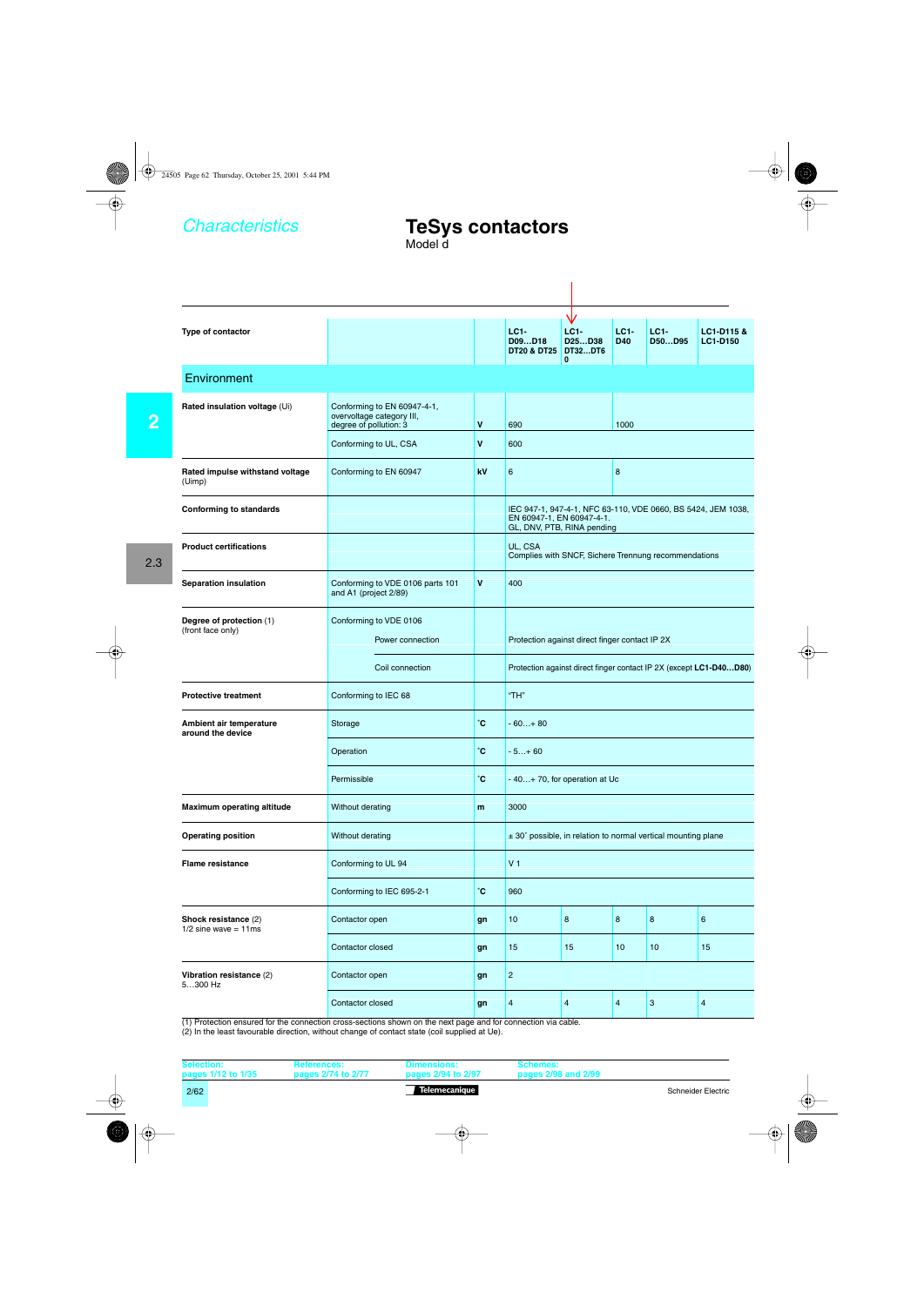*Characteristics*

### **TeSys contactors**

Model d

|                                                                                    |                     | $LC1-$<br>D09D18                                                                                                        | Ψ<br>$LC1-$<br>D <sub>25</sub> D <sub>38</sub><br>$\mathbf{0}$ | $LC1-$<br>D40       | $LC1-$<br>D50D95              | LC1-D115 &<br><b>LC1-D150</b>                                                                                         |
|------------------------------------------------------------------------------------|---------------------|-------------------------------------------------------------------------------------------------------------------------|----------------------------------------------------------------|---------------------|-------------------------------|-----------------------------------------------------------------------------------------------------------------------|
|                                                                                    |                     |                                                                                                                         |                                                                |                     |                               |                                                                                                                       |
| Conforming to EN 60947-4-1,<br>overvoltage category III,<br>degree of pollution: 3 | v                   | 690                                                                                                                     |                                                                | 1000                |                               |                                                                                                                       |
| Conforming to UL, CSA                                                              | $\mathbf{V}$<br>600 |                                                                                                                         |                                                                |                     |                               |                                                                                                                       |
| Conforming to EN 60947                                                             | kV<br>8<br>6        |                                                                                                                         |                                                                |                     |                               |                                                                                                                       |
|                                                                                    |                     | IEC 947-1, 947-4-1, NFC 63-110, VDE 0660, BS 5424, JEM 1038,<br>EN 60947-1, EN 60947-4-1.<br>GL, DNV, PTB, RINA pending |                                                                |                     |                               |                                                                                                                       |
|                                                                                    |                     | UL, CSA                                                                                                                 |                                                                |                     |                               |                                                                                                                       |
| Conforming to VDE 0106 parts 101<br>and A1 (project 2/89)                          | $\mathbf{V}$        | 400                                                                                                                     |                                                                |                     |                               |                                                                                                                       |
| Conforming to VDE 0106<br>Power connection                                         |                     | Protection against direct finger contact IP 2X                                                                          |                                                                |                     |                               |                                                                                                                       |
| Coil connection                                                                    |                     | Protection against direct finger contact IP 2X (except LC1-D40D80)                                                      |                                                                |                     |                               |                                                                                                                       |
| Conforming to IEC 68                                                               |                     | "TH"                                                                                                                    |                                                                |                     |                               |                                                                                                                       |
| Storage                                                                            | °С                  | $-60+80$                                                                                                                |                                                                |                     |                               |                                                                                                                       |
| Operation                                                                          | °С                  | $-5+60$                                                                                                                 |                                                                |                     |                               |                                                                                                                       |
| Permissible                                                                        | $\mathbf{C}$        |                                                                                                                         |                                                                |                     |                               |                                                                                                                       |
| Without derating                                                                   | m                   | 3000                                                                                                                    |                                                                |                     |                               |                                                                                                                       |
| Without derating                                                                   |                     |                                                                                                                         |                                                                |                     |                               |                                                                                                                       |
| Conforming to UL 94                                                                |                     | V <sub>1</sub>                                                                                                          |                                                                |                     |                               |                                                                                                                       |
| Conforming to IEC 695-2-1                                                          | $\mathbf{C}$        | 960                                                                                                                     |                                                                |                     |                               |                                                                                                                       |
| Contactor open                                                                     | gn                  | 10                                                                                                                      | 8                                                              | 8                   | 8                             | 6                                                                                                                     |
| Contactor closed                                                                   | gn                  | 15                                                                                                                      | 15                                                             | 10                  | 10                            | 15                                                                                                                    |
| Contactor open                                                                     | gn                  | $\overline{a}$                                                                                                          |                                                                |                     |                               |                                                                                                                       |
| Contactor closed                                                                   | gn                  | 4                                                                                                                       | 4                                                              | $\overline{4}$      | $\ensuremath{\mathsf{3}}$     | 4                                                                                                                     |
|                                                                                    |                     |                                                                                                                         |                                                                | DT20 & DT25 DT32DT6 | - 40+ 70, for operation at Uc | Complies with SNCF, Sichere Trennung recommendations<br>± 30° possible, in relation to normal vertical mounting plane |

(1) Protection ensured for the connection cross-sections shown on the next page and for connection via cable.

(2) In the least favourable direction, without change of contact state (coil supplied at Ue).

| <b>Selection:</b> | pages 1/12 to 1/35 | <b>References:</b><br>nages 2/74 to 2/77 | <b>Dimensions:</b><br>nages 2/94 to 2/97 | <b>Schemes:</b><br>pages 2/98 and 2/99 |                    |
|-------------------|--------------------|------------------------------------------|------------------------------------------|----------------------------------------|--------------------|
| 2/62              |                    |                                          | <b>Telemecanique</b>                     |                                        | Schneider Electric |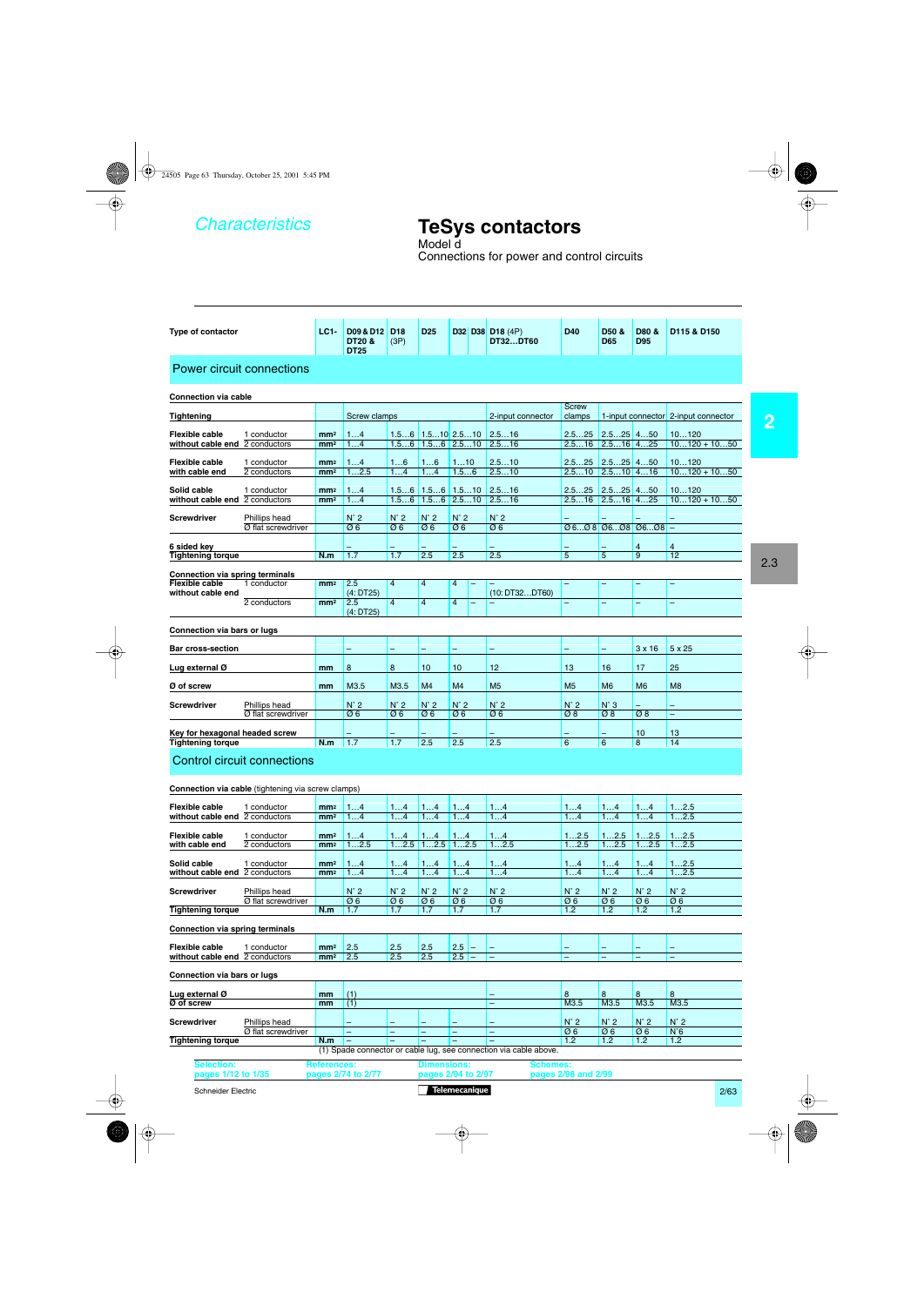*Characteristics*

# **TeSys contactors**

Model d Connections for power and control circuits

| <b>Type of contactor</b>                                  |                                         | $LC1-$                             | D09 & D12 D18<br><b>DT20 &amp;</b><br><b>DT25</b> | (3P)                            | D <sub>25</sub>                                        |                                 |                   | D32 D38 D18 (4P)<br>DT32DT60                                      | D <sub>40</sub>                                        | D50 &<br><b>D65</b>             | D80 &<br><b>D95</b>             | D115 & D150                         |
|-----------------------------------------------------------|-----------------------------------------|------------------------------------|---------------------------------------------------|---------------------------------|--------------------------------------------------------|---------------------------------|-------------------|-------------------------------------------------------------------|--------------------------------------------------------|---------------------------------|---------------------------------|-------------------------------------|
| Power circuit connections                                 |                                         |                                    |                                                   |                                 |                                                        |                                 |                   |                                                                   |                                                        |                                 |                                 |                                     |
| <b>Connection via cable</b>                               |                                         |                                    |                                                   |                                 |                                                        |                                 |                   |                                                                   |                                                        |                                 |                                 |                                     |
| Tightening                                                |                                         |                                    | Screw clamps                                      |                                 |                                                        |                                 |                   | 2-input connector                                                 | <b>Screw</b><br>clamps                                 |                                 |                                 | 1-input connector 2-input connector |
| <b>Flexible cable</b>                                     | 1 conductor                             | mm <sup>2</sup>                    | 14                                                |                                 | $1.56$   $1.510$ 2.510                                 |                                 |                   | 2.516                                                             | 2.525                                                  | $2.525$ 450                     |                                 | 10120                               |
| without cable end 2 conductors                            |                                         | mm <sup>2</sup>                    | 14                                                | 1.56                            | $1.56$ $2.510$                                         |                                 |                   | 2.516                                                             | 2.516                                                  | $2.516$ 425                     |                                 | $10120 + 1050$                      |
| <b>Flexible cable</b><br>with cable end                   | 1 conductor<br>2 conductors             | mm <sup>2</sup><br>mm <sup>2</sup> | 14<br>12.5                                        | 16<br>14                        | 16<br>14                                               | 110<br>1.56                     |                   | 2.510<br>2.510                                                    | $2.525$   $2.525$   $450$<br>$2.510$   $2.510$   $416$ |                                 |                                 | 10120<br>$10120 + 1050$             |
| Solid cable<br>without cable end 2 conductors             | 1 conductor                             | mm <sup>2</sup><br>mm <sup>2</sup> | 14<br>14                                          |                                 | $1.56$   $1.56$   $1.510$<br>$1.56$   $1.56$   $2.510$ |                                 |                   | 2.516<br>2.516                                                    | $2.525$   $2.525$   $450$<br>$2.516$   $2.516$   $425$ |                                 |                                 | 10120<br>$10120 + 1050$             |
| <b>Screwdriver</b>                                        | Phillips head<br>Ø flat screwdriver     |                                    | $N^{\circ} 2$<br>Ø6                               | $N^{\circ}$ 2<br>Ø6             | $N^{\circ} 2$<br>Ø6                                    | $N^{\circ}$ 2<br>Ø6             |                   | $N^{\circ} 2$<br>Ø6                                               | $060806080608$ -                                       |                                 |                                 |                                     |
|                                                           |                                         |                                    |                                                   |                                 |                                                        |                                 |                   |                                                                   |                                                        |                                 |                                 |                                     |
| 6 sided key<br><b>Tightening torque</b>                   |                                         | N.m                                | 1.7                                               | 1.7                             | 2.5                                                    | 2.5                             |                   | 2.5                                                               | 5                                                      | 5                               | $\overline{4}$<br>9             | 4<br>12                             |
| <b>Connection via spring terminals</b>                    |                                         |                                    |                                                   |                                 |                                                        |                                 |                   |                                                                   |                                                        |                                 |                                 |                                     |
| <b>Flexible cable</b><br>without cable end                | 1 conductor                             | mm <sup>2</sup>                    | 2.5<br>(4:DT25)                                   | 4                               | 4                                                      | 4                               |                   | (10: DT32DT60)                                                    | $\overline{\phantom{m}}$                               | $\overline{\phantom{0}}$        |                                 | $\overline{\phantom{0}}$            |
|                                                           | 2 conductors                            | mm <sup>2</sup>                    | 2.5<br>(4:DT25)                                   | $\overline{4}$                  | $\overline{4}$                                         | 4                               | $\qquad \qquad -$ |                                                                   | $\equiv$                                               | $\equiv$                        | $\overline{\phantom{m}}$        | $\equiv$                            |
| Connection via bars or lugs                               |                                         |                                    |                                                   |                                 |                                                        |                                 |                   |                                                                   |                                                        |                                 |                                 |                                     |
| <b>Bar cross-section</b>                                  |                                         |                                    | -                                                 | -                               | -                                                      | -                               |                   |                                                                   | -                                                      | -                               | $3 \times 16$                   | 5 x 25                              |
| Lug external Ø                                            |                                         | mm                                 | 8                                                 | 8                               | 10                                                     | 10                              |                   | 12                                                                | 13                                                     | 16                              | 17                              | 25                                  |
| Ø of screw                                                |                                         | mm                                 | M3.5                                              | M <sub>3.5</sub>                | M4                                                     | M <sub>4</sub>                  |                   | M <sub>5</sub>                                                    | M <sub>5</sub>                                         | M <sub>6</sub>                  | M <sub>6</sub>                  | M <sub>8</sub>                      |
| Screwdriver                                               | Phillips head                           |                                    | $N^{\circ}$ 2                                     | $N^{\circ}$ 2                   | $N^{\circ}$ 2                                          | $N^{\circ}$ 2                   |                   | $N^{\circ}$ 2                                                     | $N^{\circ}$ 2                                          | $N^{\circ}3$                    |                                 |                                     |
|                                                           | Ø flat screwdriver                      |                                    | Ø6                                                | Ø6                              | Ø6                                                     | Ø6                              |                   | Ø6                                                                | $\varnothing$ 8                                        | Ø8                              | Ø8                              | $\equiv$                            |
| Key for hexagonal headed screw                            |                                         | N.m                                | 1.7                                               | 1.7                             | 2.5                                                    | 2.5                             |                   | 2.5                                                               | 6                                                      | 6                               | 10<br>8                         | 13<br>14                            |
| Tightening torque                                         | Control circuit connections             |                                    |                                                   |                                 |                                                        |                                 |                   |                                                                   |                                                        |                                 |                                 |                                     |
| <b>Connection via cable</b> (tightening via screw clamps) |                                         |                                    |                                                   |                                 |                                                        |                                 |                   |                                                                   |                                                        |                                 |                                 |                                     |
| Flexible cable                                            |                                         |                                    |                                                   |                                 |                                                        |                                 |                   |                                                                   |                                                        |                                 |                                 | 12.5                                |
| without cable end 2 conductors                            | 1 conductor                             | mm <sup>2</sup><br>mm <sup>2</sup> | 14<br>1.4                                         | 14<br>14                        | 14<br>14                                               | 14<br>14                        |                   | 14<br>14                                                          | 14<br>14                                               | 14<br>14                        | 14<br>14                        | 12.5                                |
| <b>Flexible cable</b><br>with cable end                   | 1 conductor<br>2 conductors             | mm <sup>2</sup><br>mm <sup>2</sup> | 1.4<br>12.5                                       | 1.4<br>12.5                     | 14<br>$12.5$ 12.5                                      | 14                              |                   | 14<br>12.5                                                        | 12.5<br>12.5                                           | 12.5<br>12.5                    | 12.5<br>12.5                    | 12.5<br>12.5                        |
| Solid cable                                               | 1 conductor                             |                                    | 1.4                                               | 1.4                             | 1.4                                                    | 1.4                             |                   | 1.4                                                               |                                                        | 1.4                             | 14                              | 12.5                                |
| without cable end 2 conductors                            |                                         | mm <sup>2</sup><br>mm <sup>2</sup> | 1.4                                               | 14                              | 1.4                                                    | 14                              |                   | 1.4                                                               | 14<br>14                                               | 1.4                             | 14                              | 12.5                                |
| <b>Screwdriver</b>                                        | Phillips head                           |                                    | $N^{\circ} 2$                                     | $N^{\circ}$ 2                   | $N^{\circ}$ 2                                          | $N^{\circ}$ 2                   |                   | $N^{\circ} 2$                                                     | $N^{\circ} 2$                                          | $N^{\circ} 2$                   | $N^{\circ}$ 2                   | $N^{\circ}$ 2                       |
| <b>Tightening torque</b>                                  | $\overline{\emptyset}$ flat screwdriver | N.m                                | Ø6<br>1.7                                         | $\overline{\emptyset}$ 6<br>1.7 | $\overline{\emptyset}$ 6<br>1.7                        | $\overline{\emptyset}$ 6<br>1.7 |                   | $\overline{\emptyset}$ 6<br>1.7                                   | $\overline{\emptyset}$ 6<br>$1.2$                      | $\overline{\emptyset}$ 6<br>1.2 | $\overline{\emptyset}$ 6<br>1.2 | Ø6<br>$1.2$                         |
| Connection via spring terminals                           |                                         |                                    |                                                   |                                 |                                                        |                                 |                   |                                                                   |                                                        |                                 |                                 |                                     |
| Flexible cable                                            | 1 conductor                             | mm <sub>2</sub>                    | 2.5                                               | 2.5                             | 2.5                                                    | 2.5                             |                   | $\overline{\phantom{m}}$                                          | $\overline{\phantom{m}}$                               | $\overline{\phantom{m}}$        |                                 | $\overline{\phantom{0}}$            |
| without cable end 2 conductors                            |                                         | mm <sup>2</sup>                    | 2.5                                               | 2.5                             | 2.5                                                    | $2.5 -$                         |                   | $\equiv$                                                          | $\overline{\phantom{m}}$                               | $\equiv$                        | $\overline{\phantom{m}}$        | $\equiv$                            |
| Connection via bars or lugs                               |                                         |                                    |                                                   |                                 |                                                        |                                 |                   |                                                                   |                                                        |                                 |                                 |                                     |
| Lug external Ø<br>Ø of screw                              |                                         | mm<br>mm                           | (1)<br>(1)                                        |                                 |                                                        |                                 |                   | $\overline{\phantom{m}}$                                          | 8<br>M3.5                                              | 8<br>M3.5                       | $\boldsymbol{8}$<br>M3.5        | 8<br>M3.5                           |
| <b>Screwdriver</b>                                        | Phillips head                           |                                    |                                                   | —                               |                                                        |                                 |                   | $\overline{\phantom{0}}$                                          | $N^{\circ}$ 2                                          | $N^{\circ} 2$                   | $N^{\circ}$ 2                   | $N^{\circ}$ 2                       |
| Tightening torque                                         | Ø flat screwdriver                      | N.m                                | $\overline{\phantom{m}}$<br>$\qquad \qquad -$     | $\overline{\phantom{m}}$        | $\qquad \qquad -$                                      | $\overline{\phantom{m}}$        |                   | $\overline{\phantom{m}}$<br>$\overline{\phantom{m}}$              | Ø6<br>1.2                                              | Ø6<br>1.2                       | Ø6<br>1.2                       | $N^{\circ}6$<br>$1.2$               |
|                                                           |                                         |                                    |                                                   |                                 |                                                        |                                 |                   | (1) Spade connector or cable lug, see connection via cable above. |                                                        |                                 |                                 |                                     |
| <b>Selection:</b>                                         |                                         | <b>References:</b>                 |                                                   |                                 | <b>Dimensions:</b>                                     |                                 |                   | <b>Schemes:</b>                                                   |                                                        |                                 |                                 |                                     |
| pages 1/12 to 1/35<br>Schneider Electric                  |                                         |                                    | pages 2/74 to 2/77                                |                                 | pages 2/94 to 2/97                                     | Telemecanique                   |                   |                                                                   | pages 2/98 and 2/99                                    |                                 |                                 | 2/63                                |

2.3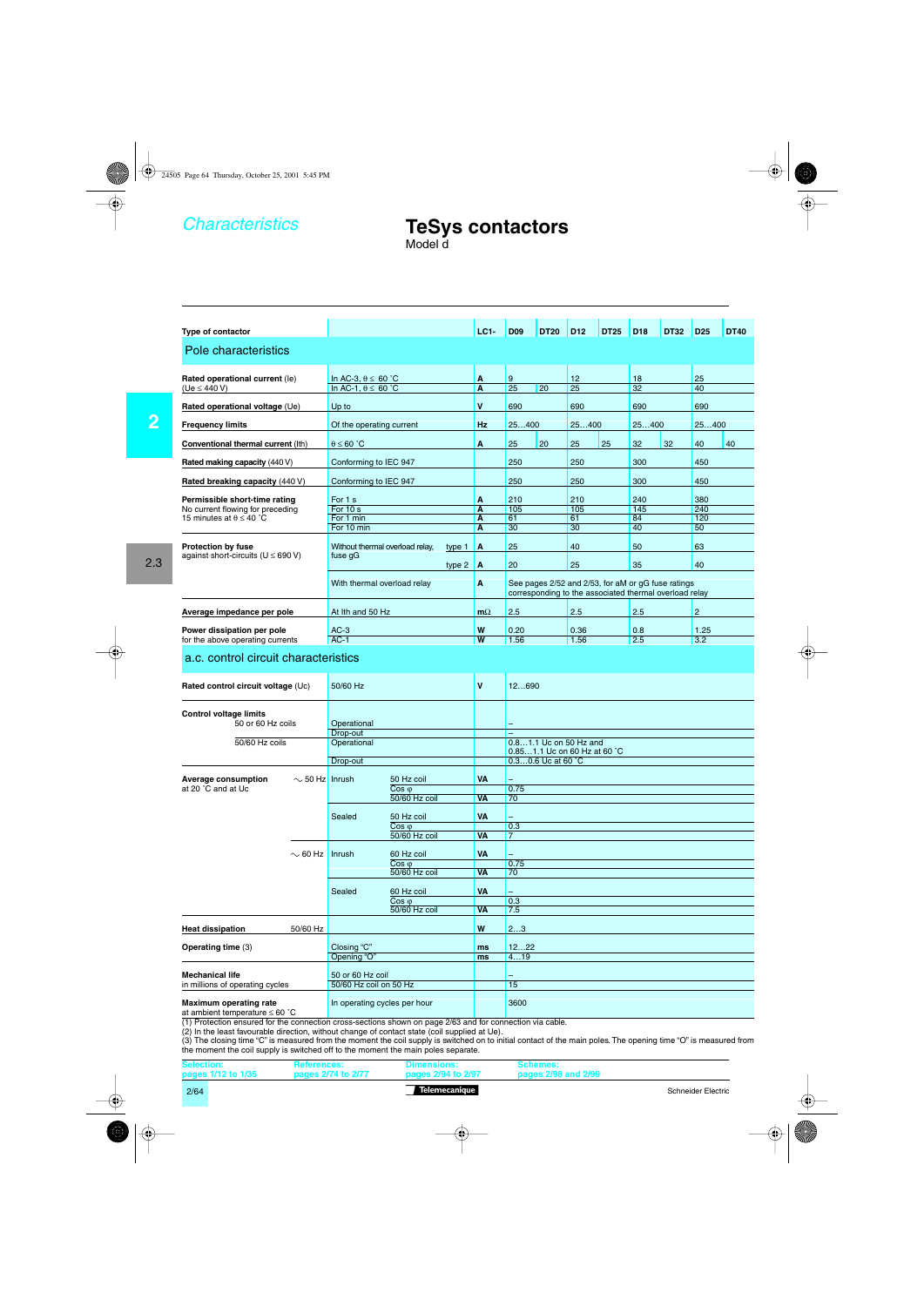## **TeSys contactors**

Model d

| <b>Type of contactor</b>                                                                                  |                                                           |                                                                            |                                                  |                 | $LC1-$      | <b>D09</b>               | <b>DT20</b>                  | D <sub>12</sub> | <b>DT25</b> | D <sub>18</sub> | <b>DT32</b>                                                                                                  | D <sub>25</sub> | <b>DT40</b> |
|-----------------------------------------------------------------------------------------------------------|-----------------------------------------------------------|----------------------------------------------------------------------------|--------------------------------------------------|-----------------|-------------|--------------------------|------------------------------|-----------------|-------------|-----------------|--------------------------------------------------------------------------------------------------------------|-----------------|-------------|
| Pole characteristics                                                                                      |                                                           |                                                                            |                                                  |                 |             |                          |                              |                 |             |                 |                                                                                                              |                 |             |
|                                                                                                           |                                                           |                                                                            |                                                  |                 |             |                          |                              |                 |             |                 |                                                                                                              |                 |             |
| Rated operational current (le)<br>(Ue $\leq$ 440 V)                                                       |                                                           | In AC-3, $\theta \leq 60^{\circ}$ C<br>In AC-1, $\theta \leq 60^{\circ}$ C |                                                  |                 | A<br>A      | 9<br>25                  | 20                           | 12<br>25        |             | 18<br>32        |                                                                                                              | 25<br>40        |             |
| Rated operational voltage (Ue)                                                                            |                                                           | Up to                                                                      |                                                  |                 | V           | 690                      |                              | 690             |             | 690             |                                                                                                              | 690             |             |
|                                                                                                           |                                                           |                                                                            |                                                  |                 |             | 25400                    |                              | 25400           |             |                 |                                                                                                              |                 |             |
| <b>Frequency limits</b>                                                                                   |                                                           | Of the operating current                                                   |                                                  |                 | <b>Hz</b>   |                          |                              |                 |             | 25400           |                                                                                                              | 25400           |             |
| Conventional thermal current (Ith)                                                                        |                                                           | $\theta \leq 60$ °C                                                        |                                                  |                 | Α           | 25                       | 20                           | 25              | 25          | 32              | 32                                                                                                           | 40              | 40          |
| Rated making capacity (440 V)                                                                             |                                                           | Conforming to IEC 947                                                      |                                                  |                 |             | 250                      |                              | 250             |             | 300             |                                                                                                              | 450             |             |
| Rated breaking capacity (440 V)                                                                           |                                                           | Conforming to IEC 947                                                      |                                                  |                 |             | 250                      |                              | 250             |             | 300             |                                                                                                              | 450             |             |
| Permissible short-time rating                                                                             |                                                           | For 1 s                                                                    |                                                  |                 | A           | 210                      |                              | 210             |             | 240             |                                                                                                              | 380             |             |
| No current flowing for preceding<br>15 minutes at $\theta \leq 40$ °C                                     |                                                           | For $10 s$<br>For 1 min                                                    |                                                  |                 | A<br>Α      | 105<br>61                |                              | 105<br>61       |             | 145<br>84       |                                                                                                              | 240<br>120      |             |
|                                                                                                           |                                                           | For 10 min                                                                 |                                                  |                 | A           | 30                       |                              | 30              |             | 40              |                                                                                                              | 50              |             |
|                                                                                                           |                                                           |                                                                            |                                                  |                 |             |                          |                              |                 |             |                 |                                                                                                              |                 |             |
| <b>Protection by fuse</b><br>against short-circuits ( $U \le 690$ V)                                      |                                                           | Without thermal overload relay,<br>fuse gG                                 |                                                  | type 1          | A           | 25                       |                              | 40              |             | 50              |                                                                                                              | 63              |             |
|                                                                                                           |                                                           |                                                                            |                                                  | type $2 \mid A$ |             | 20                       |                              | 25              |             | 35              |                                                                                                              | 40              |             |
|                                                                                                           |                                                           | With thermal overload relay                                                |                                                  |                 | Α           |                          |                              |                 |             |                 | See pages 2/52 and 2/53, for aM or gG fuse ratings<br>corresponding to the associated thermal overload relay |                 |             |
| Average impedance per pole<br>At Ith and 50 Hz                                                            |                                                           |                                                                            |                                                  |                 | $m\Omega$   | 2.5                      |                              | 2.5             |             | 2.5             |                                                                                                              | $\mathbf{2}$    |             |
| Power dissipation per pole                                                                                |                                                           | $AC-3$                                                                     |                                                  |                 | W           | 0.20                     |                              | 0.36            |             | 0.8             |                                                                                                              | 1.25            |             |
| for the above operating currents                                                                          |                                                           | $AC-1$                                                                     |                                                  |                 | W           | 1.56                     |                              | 1.56            |             | 2.5             |                                                                                                              | 3.2             |             |
| a.c. control circuit characteristics<br>Rated control circuit voltage (Uc)                                |                                                           | 50/60 Hz                                                                   |                                                  |                 | $\mathbf v$ | 12690                    |                              |                 |             |                 |                                                                                                              |                 |             |
|                                                                                                           |                                                           |                                                                            |                                                  |                 |             |                          |                              |                 |             |                 |                                                                                                              |                 |             |
| <b>Control voltage limits</b><br>50 or 60 Hz coils                                                        |                                                           | Operational                                                                |                                                  |                 |             |                          |                              |                 |             |                 |                                                                                                              |                 |             |
| 50/60 Hz coils                                                                                            |                                                           | Drop-out<br>Operational                                                    |                                                  |                 |             |                          | 0.81.1 Uc on 50 Hz and       |                 |             |                 |                                                                                                              |                 |             |
|                                                                                                           |                                                           |                                                                            |                                                  |                 |             |                          | 0.851.1 Uc on 60 Hz at 60 °C |                 |             |                 |                                                                                                              |                 |             |
|                                                                                                           |                                                           | Drop-out                                                                   |                                                  |                 |             |                          | 0.30.6 Uc at 60 °C           |                 |             |                 |                                                                                                              |                 |             |
| <b>Average consumption</b><br>at 20 °C and at Uc                                                          | $\sim$ 50 Hz Inrush                                       |                                                                            | 50 Hz coil<br>$\cos \varphi$                     |                 | VA          | 0.75                     |                              |                 |             |                 |                                                                                                              |                 |             |
|                                                                                                           |                                                           |                                                                            | 50/60 Hz coil                                    |                 | VA          | 70                       |                              |                 |             |                 |                                                                                                              |                 |             |
|                                                                                                           |                                                           | Sealed                                                                     | 50 Hz coil                                       |                 | VA          |                          |                              |                 |             |                 |                                                                                                              |                 |             |
|                                                                                                           |                                                           |                                                                            | $Cos \varphi$<br>50/60 Hz coil                   |                 | VA          | 0.3<br>$\overline{7}$    |                              |                 |             |                 |                                                                                                              |                 |             |
|                                                                                                           | $\sim$ 60 Hz Inrush                                       |                                                                            | 60 Hz coil                                       |                 | VA          |                          |                              |                 |             |                 |                                                                                                              |                 |             |
|                                                                                                           |                                                           |                                                                            | $\cos \varphi$                                   |                 |             | 0.75                     |                              |                 |             |                 |                                                                                                              |                 |             |
|                                                                                                           |                                                           |                                                                            | 50/60 Hz coil                                    |                 | <b>VA</b>   | 70                       |                              |                 |             |                 |                                                                                                              |                 |             |
|                                                                                                           |                                                           | Sealed                                                                     | 60 Hz coil                                       |                 | VA          | $\overline{\phantom{0}}$ |                              |                 |             |                 |                                                                                                              |                 |             |
|                                                                                                           |                                                           |                                                                            | $\overline{\text{Cos }\varphi}$<br>50/60 Hz coil |                 | VA          | 0.3<br>7.5               |                              |                 |             |                 |                                                                                                              |                 |             |
| <b>Heat dissipation</b>                                                                                   | 50/60 Hz                                                  |                                                                            |                                                  |                 | W           | 23                       |                              |                 |             |                 |                                                                                                              |                 |             |
| <b>Operating time (3)</b><br>Closing "C"                                                                  |                                                           |                                                                            |                                                  |                 | ms          | 1222                     |                              |                 |             |                 |                                                                                                              |                 |             |
| Opening "O"                                                                                               |                                                           |                                                                            |                                                  |                 |             | 419                      |                              |                 |             |                 |                                                                                                              |                 |             |
| <b>Mechanical life</b>                                                                                    |                                                           | 50 or 60 Hz coil                                                           |                                                  |                 |             |                          |                              |                 |             |                 |                                                                                                              |                 |             |
|                                                                                                           | 50/60 Hz coil on 50 Hz<br>in millions of operating cycles |                                                                            |                                                  |                 |             | 15                       |                              |                 |             |                 |                                                                                                              |                 |             |
| <b>Maximum operating rate</b><br>at ambient temperature $\leq 60$ °C                                      |                                                           | In operating cycles per hour                                               |                                                  |                 |             | 3600                     |                              |                 |             |                 |                                                                                                              |                 |             |
| (1) Protection ensured for the connection cross-sections shown on page 2/63 and for connection via cable. |                                                           |                                                                            |                                                  |                 |             |                          |                              |                 |             |                 |                                                                                                              |                 |             |

(2) In the least favourable direction, without change of contact state (coil supplied at Ue).

(3) The closing time "C" is measured from the moment the coil supply is switched on to initial contact of the main poles. The opening time "O" is measured from the moment the coil supply is switched off to the moment the main poles separate.

| <b>Selection:</b> | pages 1/12 to 1/35 | <b>References:</b><br>pages 2/74 to 2/77 | Dimensions:<br>pages 2/94 to 2/97 | <b>Schemes:</b><br>pages 2/98 and 2/99 |                           |
|-------------------|--------------------|------------------------------------------|-----------------------------------|----------------------------------------|---------------------------|
| 2/64              |                    |                                          | Telemecanique                     |                                        | <b>Schneider Electric</b> |

2.3

**2**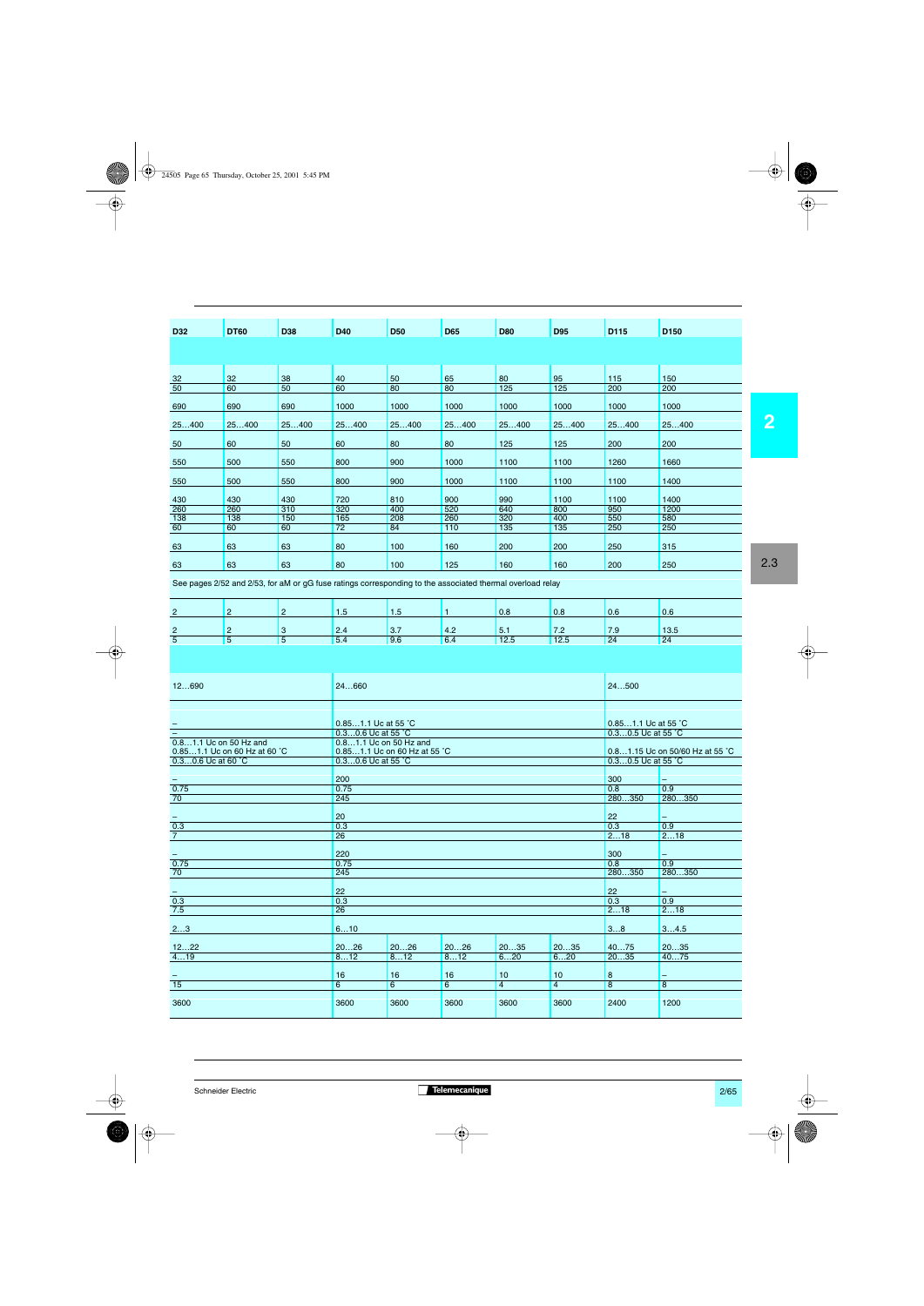| D32                      | <b>DT60</b>                  | D38                                                                                                       | D40                    | <b>D50</b>                   | <b>D65</b>   | <b>D80</b>       | <b>D95</b>     | D115                | D <sub>150</sub>                |
|--------------------------|------------------------------|-----------------------------------------------------------------------------------------------------------|------------------------|------------------------------|--------------|------------------|----------------|---------------------|---------------------------------|
|                          |                              |                                                                                                           |                        |                              |              |                  |                |                     |                                 |
|                          |                              |                                                                                                           |                        |                              |              |                  |                |                     |                                 |
| 32                       | 32                           | 38                                                                                                        | 40                     | 50                           | 65           | 80               | 95             | 115                 | 150                             |
| 50                       | 60                           | 50                                                                                                        | 60                     | 80                           | 80           | $\overline{125}$ | 125            | 200                 | 200                             |
|                          |                              |                                                                                                           |                        |                              |              |                  |                |                     |                                 |
| 690                      | 690                          | 690                                                                                                       | 1000                   | 1000                         | 1000         | 1000             | 1000           | 1000                | 1000                            |
| 25400                    | 25400                        | 25400                                                                                                     | 25400                  | 25400                        | 25400        | 25400            | 25400          | 25400               | 25400                           |
| 50                       | 60                           | 50                                                                                                        | 60                     | 80                           | 80           | 125              | 125            | 200                 | 200                             |
|                          |                              |                                                                                                           |                        |                              |              |                  |                |                     |                                 |
| 550                      | 500                          | 550                                                                                                       | 800                    | 900                          | 1000         | 1100             | 1100           | 1260                | 1660                            |
| 550                      | 500                          | 550                                                                                                       | 800                    | 900                          | 1000         | 1100             | 1100           | 1100                | 1400                            |
|                          | 430                          | 430                                                                                                       | 720                    | 810                          | 900          | 990              | 1100           | 1100                | 1400                            |
| 430<br>260               | 260                          | 310                                                                                                       | 320                    | 400                          | 520          | 640              | 800            | 950                 | 1200                            |
| $\overline{138}$         | 138                          | 150                                                                                                       | 165                    | 208                          | 260          | 320              | 400            | 550                 | 580                             |
| 60                       | 60                           | 60                                                                                                        | 72                     | 84                           | 110          | 135              | 135            | 250                 | 250                             |
|                          |                              |                                                                                                           |                        |                              |              |                  |                |                     |                                 |
| 63                       | 63                           | 63                                                                                                        | 80                     | 100                          | 160          | 200              | 200            | 250                 | 315                             |
| 63                       | 63                           | 63                                                                                                        | 80                     | 100                          | 125          | 160              | 160            | 200                 | 250                             |
|                          |                              |                                                                                                           |                        |                              |              |                  |                |                     |                                 |
|                          |                              | See pages 2/52 and 2/53, for aM or gG fuse ratings corresponding to the associated thermal overload relay |                        |                              |              |                  |                |                     |                                 |
|                          |                              |                                                                                                           |                        |                              |              |                  |                |                     |                                 |
| $\overline{c}$           | $\overline{2}$               | $\overline{2}$                                                                                            | $1.5$                  | 1.5                          | $\mathbf{1}$ | 0.8              | 0.8            | 0.6                 | 0.6                             |
|                          |                              |                                                                                                           |                        |                              |              |                  |                |                     |                                 |
| $\overline{c}$           | $\overline{c}$               | $\mathbf{3}$                                                                                              | 2.4                    | 3.7                          | 4.2          | 5.1              | 7.2            | 7.9                 | 13.5                            |
| $\overline{5}$           | $\overline{5}$               | $\overline{5}$                                                                                            | 5.4                    | 9.6                          | 6.4          | 12.5             | 12.5           | $\overline{24}$     | $\overline{24}$                 |
|                          |                              |                                                                                                           |                        |                              |              |                  |                |                     |                                 |
| 12690                    |                              |                                                                                                           | 24660                  |                              |              |                  |                | 24500               |                                 |
|                          |                              |                                                                                                           |                        |                              |              |                  |                |                     |                                 |
|                          |                              |                                                                                                           | 0.851.1 Uc at 55 °C    |                              |              |                  |                | 0.851.1 Uc at 55 °C |                                 |
|                          |                              |                                                                                                           | 0.30.6 Uc at 55 °C     |                              |              |                  |                | 0.30.5 Uc at 55 °C  |                                 |
| 0.81.1 Uc on 50 Hz and   |                              |                                                                                                           | 0.81.1 Uc on 50 Hz and |                              |              |                  |                |                     |                                 |
|                          | 0.851.1 Uc on 60 Hz at 60 °C |                                                                                                           |                        | 0.851.1 Uc on 60 Hz at 55 °C |              |                  |                |                     | 0.81.15 Uc on 50/60 Hz at 55 °C |
| 0.30.6 Uc at 60 °C       |                              |                                                                                                           | 0.30.6 Uc at 55 °C     |                              |              |                  |                | 0.30.5 Uc at 55 °C  |                                 |
|                          |                              |                                                                                                           |                        |                              |              |                  |                |                     |                                 |
|                          |                              |                                                                                                           | 200                    |                              |              |                  |                | 300                 |                                 |
| 0.75<br>70               |                              |                                                                                                           | 0.75<br>245            |                              |              |                  |                | 0.8<br>280350       | 0.9<br>280350                   |
|                          |                              |                                                                                                           |                        |                              |              |                  |                |                     |                                 |
|                          |                              |                                                                                                           | 20                     |                              |              |                  |                | 22                  |                                 |
| 0.3                      |                              |                                                                                                           | 0.3                    |                              |              |                  |                | 0.3                 | 0.9                             |
| $\overline{7}$           |                              |                                                                                                           | 26                     |                              |              |                  |                | 218                 | 218                             |
|                          |                              |                                                                                                           | 220                    |                              |              |                  |                | 300                 |                                 |
| 0.75                     |                              |                                                                                                           | 0.75                   |                              |              |                  |                | 0.8                 | 0.9                             |
| $\overline{70}$          |                              |                                                                                                           | 245                    |                              |              |                  |                | 280350              | 280350                          |
|                          |                              |                                                                                                           |                        |                              |              |                  |                |                     |                                 |
| $\overline{\phantom{m}}$ |                              |                                                                                                           | 22                     |                              |              |                  |                | 22                  | $\overline{\phantom{m}}$        |
| 0.3<br>7.5               |                              |                                                                                                           | 0.3<br>26              |                              |              |                  |                | 0.3<br>218          | 0.9<br>218                      |
|                          |                              |                                                                                                           |                        |                              |              |                  |                |                     |                                 |
| 23                       |                              |                                                                                                           | 610                    |                              |              |                  |                | 38                  | 34.5                            |
|                          |                              |                                                                                                           |                        |                              |              |                  |                |                     |                                 |
| 1222<br>419              |                              |                                                                                                           | 2026<br>812            | 2026<br>812                  | 2026<br>812  | 2035<br>620      | 2035<br>620    | 4075<br>2035        | 2035<br>4075                    |
|                          |                              |                                                                                                           |                        |                              |              |                  |                |                     |                                 |
|                          |                              |                                                                                                           | 16                     | 16                           | 16           | 10               | 10             | 8                   |                                 |
| $\overline{15}$          |                              |                                                                                                           | 6                      | 6                            | 6            | $\overline{4}$   | $\overline{4}$ | 8                   | $\overline{8}$                  |
| 3600                     |                              |                                                                                                           | 3600                   | 3600                         | 3600         | 3600             | 3600           | 2400                | 1200                            |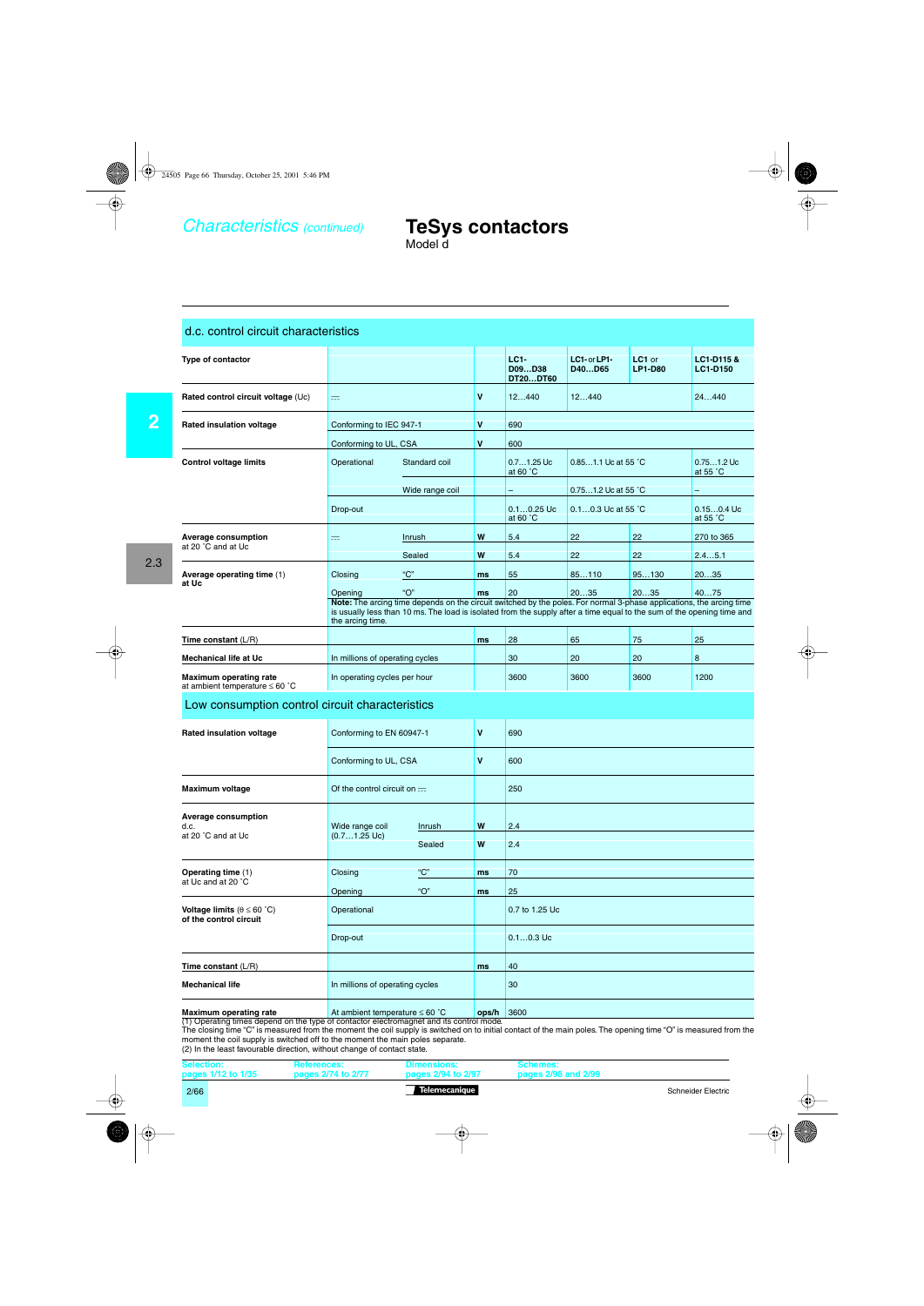## **TeSys contactors**

Model d

#### d.c. control circuit characteristics

| Type of contactor                                                    |                                           |                                                                                                                                                                                                                                                |             | $LC1-$<br>D09D38<br>DT20DT60       | LC1- or LP1-<br>D <sub>40</sub> D <sub>65</sub> | LC1 or<br><b>LP1-D80</b> | LC1-D115&<br><b>LC1-D150</b>       |
|----------------------------------------------------------------------|-------------------------------------------|------------------------------------------------------------------------------------------------------------------------------------------------------------------------------------------------------------------------------------------------|-------------|------------------------------------|-------------------------------------------------|--------------------------|------------------------------------|
| Rated control circuit voltage (Uc)                                   | $=$                                       |                                                                                                                                                                                                                                                | V           | 12440                              | 12440                                           |                          | 24440                              |
| <b>Rated insulation voltage</b>                                      | Conforming to IEC 947-1                   |                                                                                                                                                                                                                                                | ۷           | 690                                |                                                 |                          |                                    |
|                                                                      | Conforming to UL, CSA                     |                                                                                                                                                                                                                                                | v           | 600                                |                                                 |                          |                                    |
| <b>Control voltage limits</b>                                        | Operational                               | Standard coil                                                                                                                                                                                                                                  |             | $0.71.25$ Uc<br>at 60 $^{\circ}$ C | $0.851.1$ Uc at 55 °C                           |                          | $0.751.2$ Uc<br>at 55 $^{\circ}$ C |
|                                                                      |                                           | Wide range coil                                                                                                                                                                                                                                |             | $\qquad \qquad -$                  | 0.751.2 Uc at 55 °C                             |                          | $\qquad \qquad -$                  |
|                                                                      | Drop-out                                  |                                                                                                                                                                                                                                                |             | $0.10.25$ Uc<br>at 60 $^{\circ}$ C | $0.10.3$ Uc at 55 °C                            |                          | $0.150.4$ Uc<br>at 55 $^{\circ}$ C |
| <b>Average consumption</b><br>at 20 °C and at Uc                     | $=$                                       | Inrush                                                                                                                                                                                                                                         | W           | 5.4                                | 22                                              | 22                       | 270 to 365                         |
|                                                                      |                                           | Sealed                                                                                                                                                                                                                                         | W           | 5.4                                | 22                                              | 22                       | 2.45.1                             |
| Average operating time (1)                                           | Closing                                   | "C"                                                                                                                                                                                                                                            | ms          | 55                                 | 85110                                           | 95130                    | 2035                               |
| at Uc                                                                | Opening                                   | "O"                                                                                                                                                                                                                                            | ms          | 20                                 | 2035                                            | 2035                     | 4075                               |
|                                                                      | the arcing time.                          | Note: The arcing time depends on the circuit switched by the poles. For normal 3-phase applications, the arcing time<br>is usually less than 10 ms. The load is isolated from the supply after a time equal to the sum of the opening time and |             |                                    |                                                 |                          |                                    |
| Time constant $(L/R)$                                                |                                           |                                                                                                                                                                                                                                                | ms          | 28                                 | 65                                              | 75                       | 25                                 |
| <b>Mechanical life at Uc</b>                                         | In millions of operating cycles           |                                                                                                                                                                                                                                                |             | 30                                 | 20                                              | 20                       | 8                                  |
| <b>Maximum operating rate</b><br>at ambient temperature $\leq 60$ °C | In operating cycles per hour              |                                                                                                                                                                                                                                                |             | 3600                               | 3600                                            | 3600                     | 1200                               |
| Low consumption control circuit characteristics                      |                                           |                                                                                                                                                                                                                                                |             |                                    |                                                 |                          |                                    |
| Rated insulation voltage                                             | Conforming to EN 60947-1                  |                                                                                                                                                                                                                                                | $\mathbf v$ | 690                                |                                                 |                          |                                    |
|                                                                      | Conforming to UL, CSA                     |                                                                                                                                                                                                                                                | v           | 600                                |                                                 |                          |                                    |
| <b>Maximum voltage</b>                                               | Of the control circuit on $=$             |                                                                                                                                                                                                                                                |             | 250                                |                                                 |                          |                                    |
| <b>Average consumption</b>                                           |                                           |                                                                                                                                                                                                                                                |             |                                    |                                                 |                          |                                    |
| d.c.<br>at 20 °C and at Uc                                           | Wide range coil<br>$(0.71.25 \text{ Uc})$ | Inrush                                                                                                                                                                                                                                         | W           | 2.4                                |                                                 |                          |                                    |
|                                                                      |                                           | Sealed                                                                                                                                                                                                                                         | W           | 2.4                                |                                                 |                          |                                    |
| <b>Operating time (1)</b>                                            | Closing                                   | $\underline{^{\omega}C}$                                                                                                                                                                                                                       | ms          | 70                                 |                                                 |                          |                                    |
| at Uc and at 20 °C                                                   | Opening                                   | "O"                                                                                                                                                                                                                                            | ms          | 25                                 |                                                 |                          |                                    |
| Voltage limits ( $\theta \le 60$ °C)<br>of the control circuit       | Operational                               |                                                                                                                                                                                                                                                |             | 0.7 to 1.25 Uc                     |                                                 |                          |                                    |
|                                                                      | Drop-out                                  |                                                                                                                                                                                                                                                |             | $0.10.3$ Uc                        |                                                 |                          |                                    |
| Time constant $(L/R)$                                                |                                           |                                                                                                                                                                                                                                                | ms          | 40                                 |                                                 |                          |                                    |
| <b>Mechanical life</b>                                               | In millions of operating cycles           |                                                                                                                                                                                                                                                |             | 30                                 |                                                 |                          |                                    |
| <b>Maximum operating rate</b>                                        | At ambient temperature $\leq 60$ °C       |                                                                                                                                                                                                                                                | ops/h       | 3600                               |                                                 |                          |                                    |

(1) Operating times depend on the type of contactor electromagnet and its control mode.

The closing time "C" is measured from the moment the coil supply is switched on to initial contact of the main poles. The opening time "O" is measured from the moment the coil supply is switched off to the moment the main poles separate. (2) In the least favourable direction, without change of contact state.

| <b>Selection:</b>  | References:        | Dimensions:          | Schemes:            |                    |
|--------------------|--------------------|----------------------|---------------------|--------------------|
| pages 1/12 to 1/35 | pages 2/74 to 2/77 | pages 2/94 to 2/97   | pages 2/98 and 2/99 |                    |
| 2/66               |                    | <b>Telemecanique</b> |                     | Schneider Electric |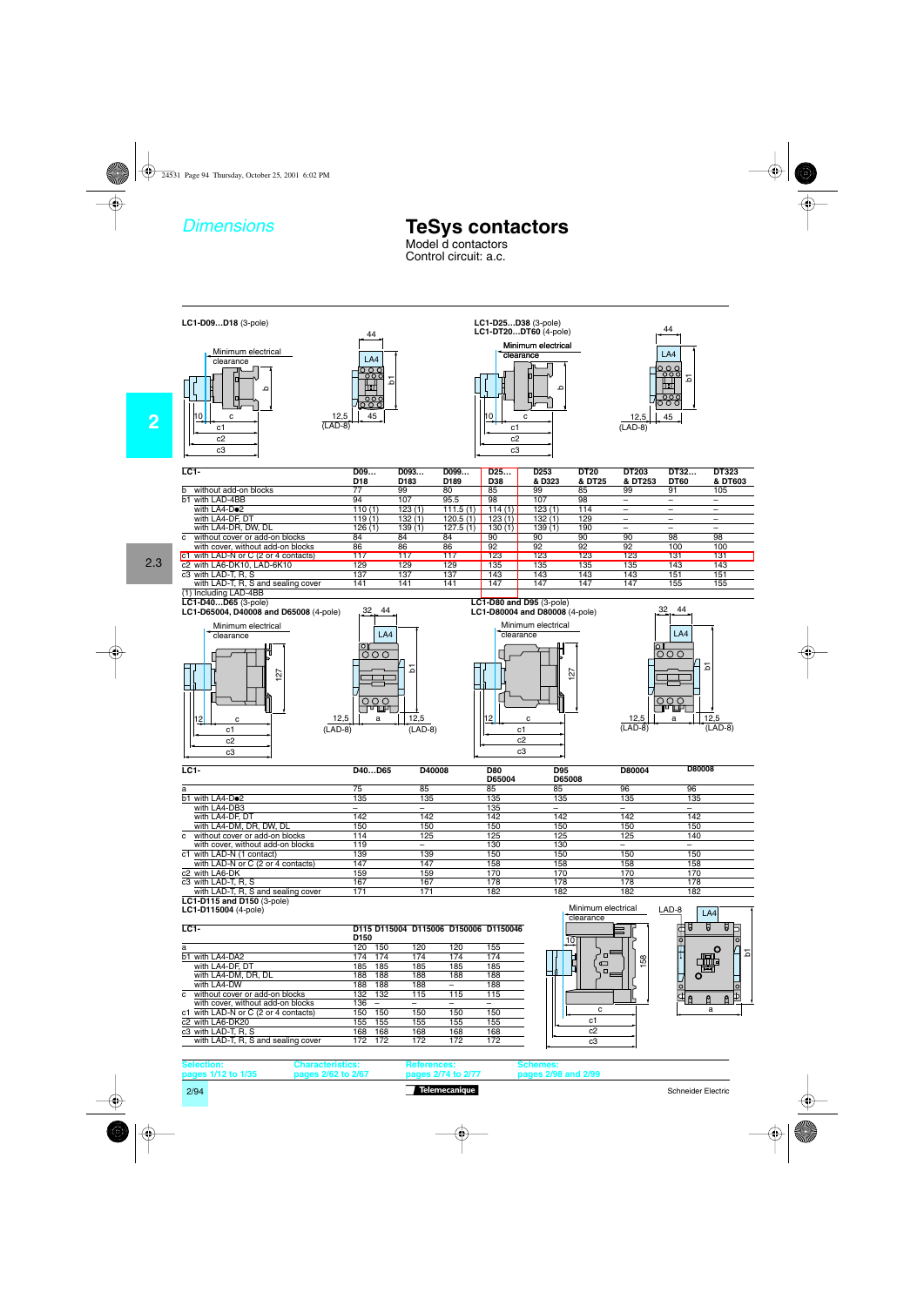*Dimensions*

### **TeSys contactors**

Model d contactors Control circuit: a.c.



2/94 Schneider Electric

**2**